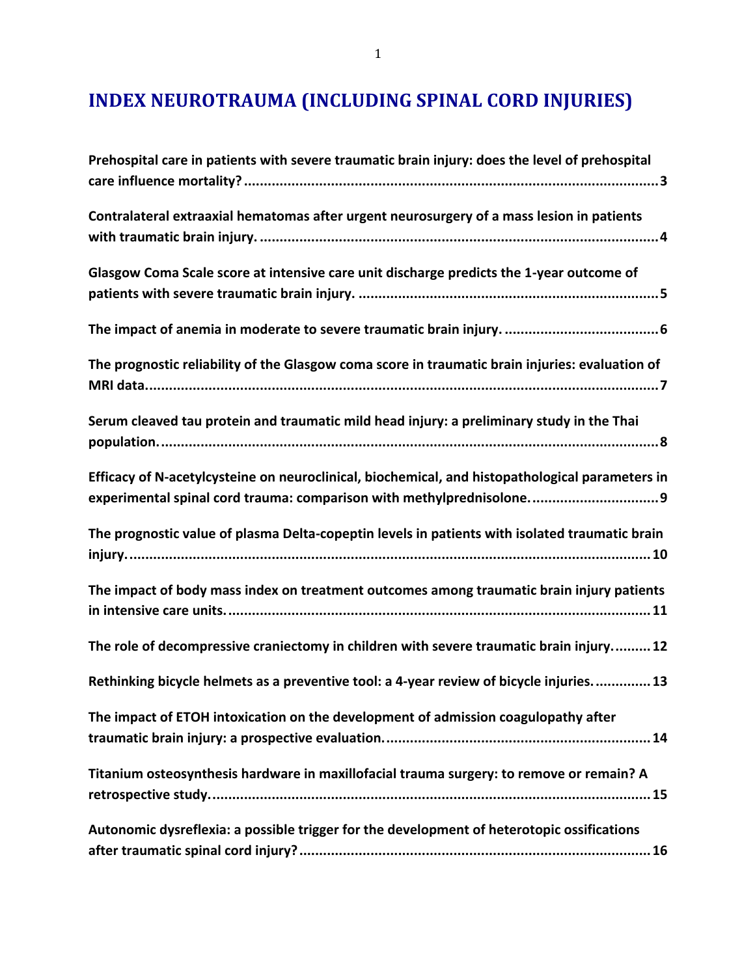# **INDEX NEUROTRAUMA (INCLUDING SPINAL CORD INJURIES)**

| Prehospital care in patients with severe traumatic brain injury: does the level of prehospital                                                                           |
|--------------------------------------------------------------------------------------------------------------------------------------------------------------------------|
| Contralateral extraaxial hematomas after urgent neurosurgery of a mass lesion in patients                                                                                |
| Glasgow Coma Scale score at intensive care unit discharge predicts the 1-year outcome of                                                                                 |
|                                                                                                                                                                          |
| The prognostic reliability of the Glasgow coma score in traumatic brain injuries: evaluation of                                                                          |
| Serum cleaved tau protein and traumatic mild head injury: a preliminary study in the Thai                                                                                |
| Efficacy of N-acetylcysteine on neuroclinical, biochemical, and histopathological parameters in<br>experimental spinal cord trauma: comparison with methylprednisolone 9 |
| The prognostic value of plasma Delta-copeptin levels in patients with isolated traumatic brain                                                                           |
| The impact of body mass index on treatment outcomes among traumatic brain injury patients                                                                                |
| The role of decompressive craniectomy in children with severe traumatic brain injury 12                                                                                  |
| Rethinking bicycle helmets as a preventive tool: a 4-year review of bicycle injuries.  13                                                                                |
| The impact of ETOH intoxication on the development of admission coagulopathy after                                                                                       |
| Titanium osteosynthesis hardware in maxillofacial trauma surgery: to remove or remain? A                                                                                 |
| Autonomic dysreflexia: a possible trigger for the development of heterotopic ossifications                                                                               |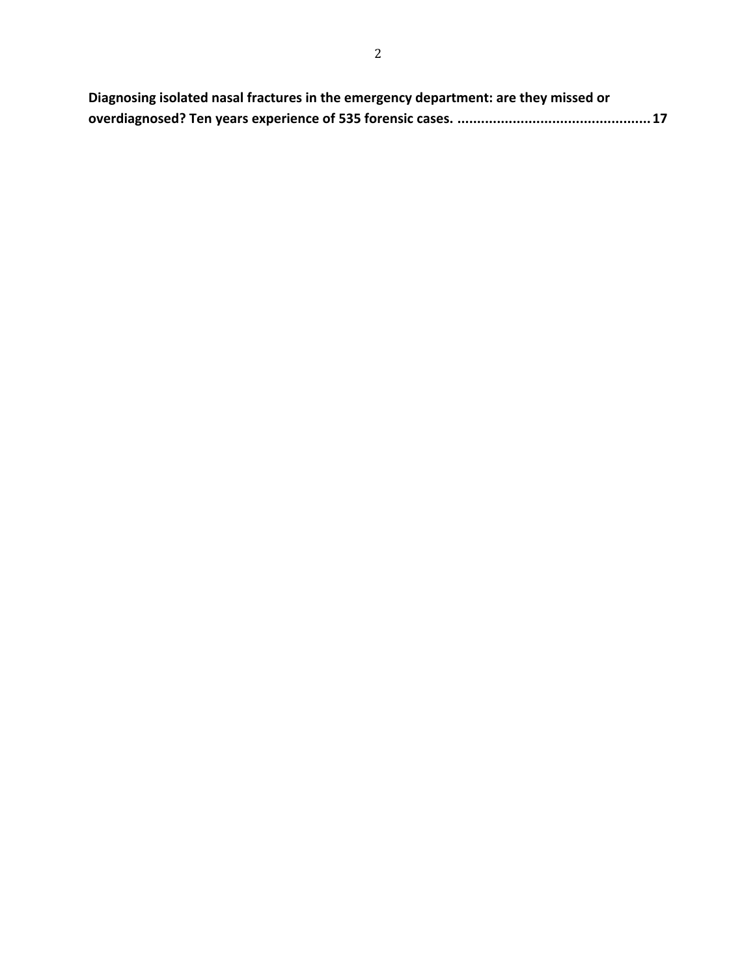| Diagnosing isolated nasal fractures in the emergency department: are they missed or |
|-------------------------------------------------------------------------------------|
|                                                                                     |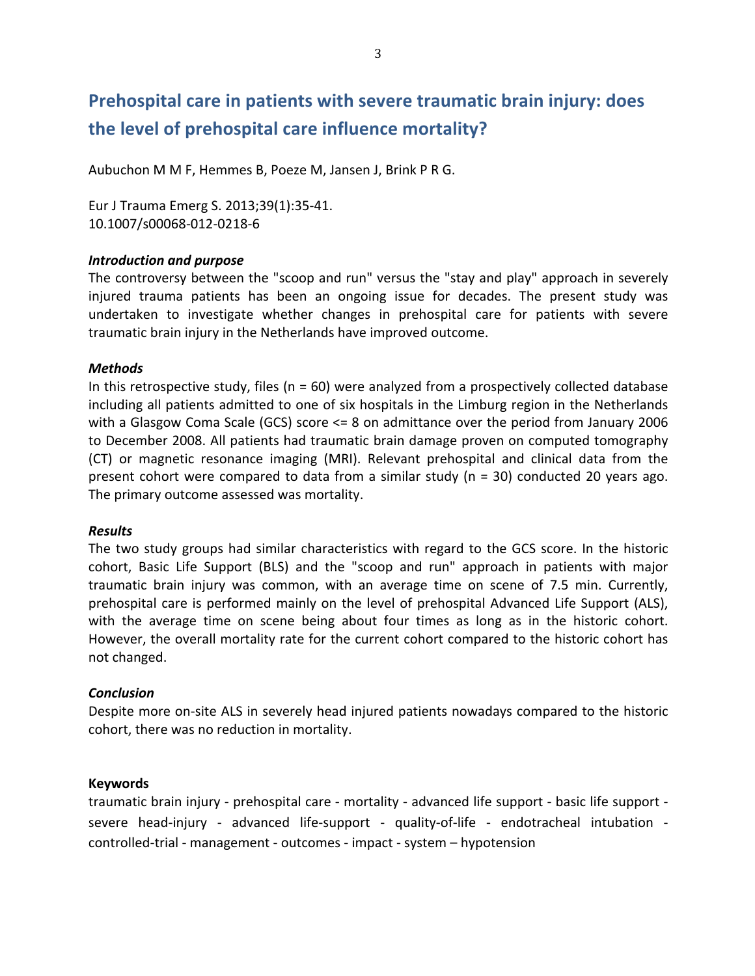# **Prehospital care in patients with severe traumatic brain injury: does** the level of prehospital care influence mortality?

Aubuchon M M F, Hemmes B, Poeze M, Jansen J, Brink P R G.

Eur J Trauma Emerg S. 2013;39(1):35-41. 10.1007/s00068-012-0218-6

### *Introduction\*and\*purpose*

The controversy between the "scoop and run" versus the "stay and play" approach in severely injured trauma patients has been an ongoing issue for decades. The present study was undertaken to investigate whether changes in prehospital care for patients with severe traumatic brain injury in the Netherlands have improved outcome.

### *Methods*

In this retrospective study, files ( $n = 60$ ) were analyzed from a prospectively collected database including all patients admitted to one of six hospitals in the Limburg region in the Netherlands with a Glasgow Coma Scale (GCS) score  $\leq$  8 on admittance over the period from January 2006 to December 2008. All patients had traumatic brain damage proven on computed tomography (CT) or magnetic resonance imaging (MRI). Relevant prehospital and clinical data from the present cohort were compared to data from a similar study (n = 30) conducted 20 years ago. The primary outcome assessed was mortality.

### *Results*

The two study groups had similar characteristics with regard to the GCS score. In the historic cohort, Basic Life Support (BLS) and the "scoop and run" approach in patients with major traumatic brain injury was common, with an average time on scene of 7.5 min. Currently, prehospital care is performed mainly on the level of prehospital Advanced Life Support (ALS), with the average time on scene being about four times as long as in the historic cohort. However, the overall mortality rate for the current cohort compared to the historic cohort has not changed.

### *Conclusion*

Despite more on-site ALS in severely head injured patients nowadays compared to the historic cohort, there was no reduction in mortality.

### **Keywords**

traumatic brain injury - prehospital care - mortality - advanced life support - basic life support severe head-injury - advanced life-support - quality-of-life - endotracheal intubation controlled-trial - management - outcomes - impact - system – hypotension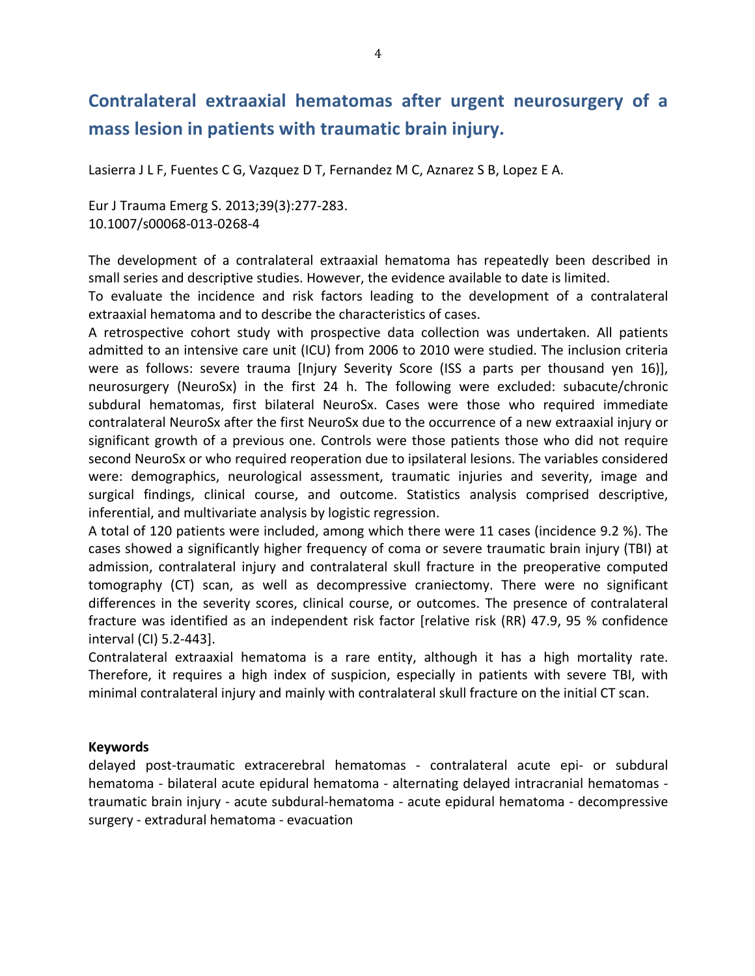# **Contralateral, extraaxial, hematomas, after, urgent, neurosurgery, of, a,** mass lesion in patients with traumatic brain injury.

Lasierra J L F, Fuentes C G, Vazquez D T, Fernandez M C, Aznarez S B, Lopez E A.

Eur J Trauma Emerg S. 2013;39(3):277-283. 10.1007/s00068-013-0268-4

The development of a contralateral extraaxial hematoma has repeatedly been described in small series and descriptive studies. However, the evidence available to date is limited.

To evaluate the incidence and risk factors leading to the development of a contralateral extraaxial hematoma and to describe the characteristics of cases.

A retrospective cohort study with prospective data collection was undertaken. All patients admitted to an intensive care unit (ICU) from 2006 to 2010 were studied. The inclusion criteria were as follows: severe trauma [Injury Severity Score (ISS a parts per thousand yen 16)], neurosurgery (NeuroSx) in the first 24 h. The following were excluded: subacute/chronic subdural hematomas, first bilateral NeuroSx. Cases were those who required immediate contralateral NeuroSx after the first NeuroSx due to the occurrence of a new extraaxial injury or significant growth of a previous one. Controls were those patients those who did not require second NeuroSx or who required reoperation due to ipsilateral lesions. The variables considered were: demographics, neurological assessment, traumatic injuries and severity, image and surgical findings, clinical course, and outcome. Statistics analysis comprised descriptive, inferential, and multivariate analysis by logistic regression.

A total of 120 patients were included, among which there were 11 cases (incidence 9.2 %). The cases showed a significantly higher frequency of coma or severe traumatic brain injury (TBI) at admission, contralateral injury and contralateral skull fracture in the preoperative computed tomography (CT) scan, as well as decompressive craniectomy. There were no significant differences in the severity scores, clinical course, or outcomes. The presence of contralateral fracture was identified as an independent risk factor [relative risk (RR) 47.9, 95 % confidence interval (CI) 5.2-443].

Contralateral extraaxial hematoma is a rare entity, although it has a high mortality rate. Therefore, it requires a high index of suspicion, especially in patients with severe TBI, with minimal contralateral injury and mainly with contralateral skull fracture on the initial CT scan.

### **Keywords**

delayed post-traumatic extracerebral hematomas - contralateral acute epi- or subdural hematoma - bilateral acute epidural hematoma - alternating delayed intracranial hematomas traumatic brain injury - acute subdural-hematoma - acute epidural hematoma - decompressive surgery - extradural hematoma - evacuation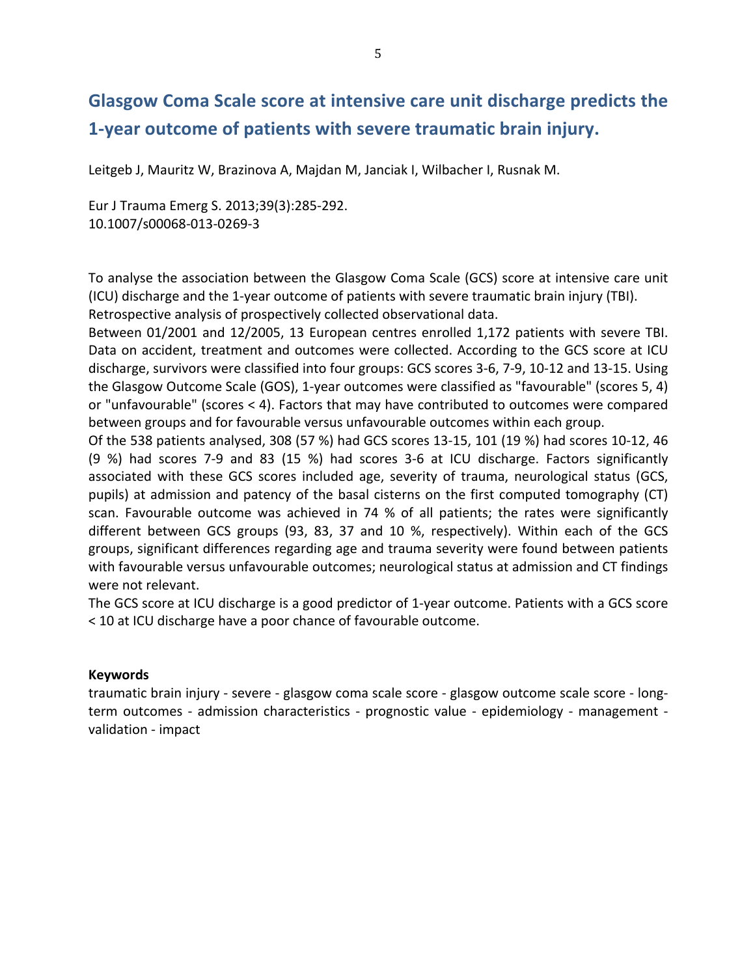# **Glasgow Coma Scale score at intensive care unit discharge predicts the 1-year outcome of patients with severe traumatic brain injury.**

Leitgeb J, Mauritz W, Brazinova A, Majdan M, Janciak I, Wilbacher I, Rusnak M.

Eur J Trauma Emerg S. 2013;39(3):285-292. 10.1007/s00068-013-0269-3

To analyse the association between the Glasgow Coma Scale (GCS) score at intensive care unit (ICU) discharge and the 1-year outcome of patients with severe traumatic brain injury (TBI). Retrospective analysis of prospectively collected observational data.

Between 01/2001 and 12/2005, 13 European centres enrolled 1,172 patients with severe TBI. Data on accident, treatment and outcomes were collected. According to the GCS score at ICU discharge, survivors were classified into four groups: GCS scores 3-6, 7-9, 10-12 and 13-15. Using the Glasgow Outcome Scale (GOS), 1-year outcomes were classified as "favourable" (scores 5, 4) or "unfavourable" (scores  $<$  4). Factors that may have contributed to outcomes were compared between groups and for favourable versus unfavourable outcomes within each group.

Of the 538 patients analysed, 308 (57 %) had GCS scores 13-15, 101 (19 %) had scores 10-12, 46 (9 %) had scores 7-9 and 83 (15 %) had scores 3-6 at ICU discharge. Factors significantly associated with these GCS scores included age, severity of trauma, neurological status (GCS, pupils) at admission and patency of the basal cisterns on the first computed tomography (CT) scan. Favourable outcome was achieved in 74 % of all patients; the rates were significantly different between GCS groups (93, 83, 37 and 10 %, respectively). Within each of the GCS groups, significant differences regarding age and trauma severity were found between patients with favourable versus unfavourable outcomes; neurological status at admission and CT findings were not relevant.

The GCS score at ICU discharge is a good predictor of 1-year outcome. Patients with a GCS score < 10 at ICU discharge have a poor chance of favourable outcome.

### **Keywords**

traumatic brain injury - severe - glasgow coma scale score - glasgow outcome scale score - longterm outcomes - admission characteristics - prognostic value - epidemiology - management validation - impact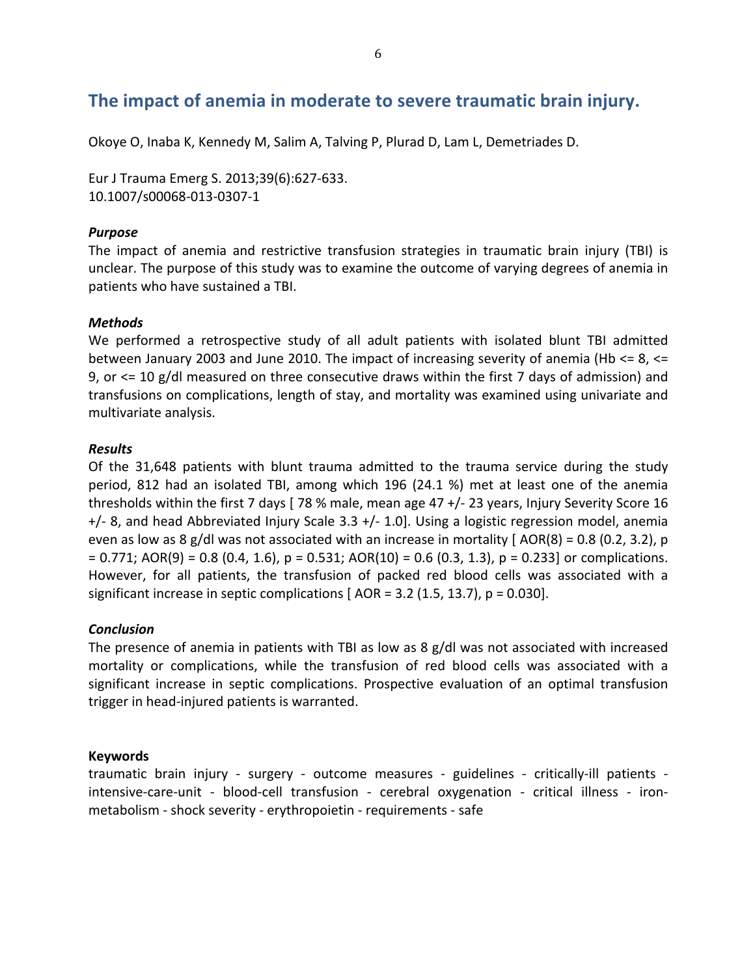### The impact of anemia in moderate to severe traumatic brain injury.

Okoye O, Inaba K, Kennedy M, Salim A, Talving P, Plurad D, Lam L, Demetriades D.

Eur J Trauma Emerg S. 2013;39(6):627-633. 10.1007/s00068-013-0307-1

### **Purpose**

The impact of anemia and restrictive transfusion strategies in traumatic brain injury (TBI) is unclear. The purpose of this study was to examine the outcome of varying degrees of anemia in patients who have sustained a TBI.

### **Methods**

We performed a retrospective study of all adult patients with isolated blunt TBI admitted between January 2003 and June 2010. The impact of increasing severity of anemia (Hb  $\leq$  8,  $\leq$ 9, or  $\leq$  10 g/dl measured on three consecutive draws within the first 7 days of admission) and transfusions on complications, length of stay, and mortality was examined using univariate and multivariate analysis.

### **Results**

Of the 31,648 patients with blunt trauma admitted to the trauma service during the study period, 812 had an isolated TBI, among which 196 (24.1 %) met at least one of the anemia thresholds within the first 7 days [78 % male, mean age 47  $+/-$  23 years, Injury Severity Score 16  $+/-$  8, and head Abbreviated Injury Scale 3.3  $+/-$  1.0]. Using a logistic regression model, anemia even as low as 8 g/dl was not associated with an increase in mortality [AOR(8) = 0.8 (0.2, 3.2), p  $= 0.771$ ; AOR(9) = 0.8 (0.4, 1.6), p = 0.531; AOR(10) = 0.6 (0.3, 1.3), p = 0.233] or complications. However, for all patients, the transfusion of packed red blood cells was associated with a significant increase in septic complications  $[ AOR = 3.2 (1.5, 13.7), p = 0.030].$ 

### **Conclusion**

The presence of anemia in patients with TBI as low as 8  $g/dI$  was not associated with increased mortality or complications, while the transfusion of red blood cells was associated with a significant increase in septic complications. Prospective evaluation of an optimal transfusion trigger in head-injured patients is warranted.

### **Keywords**

traumatic brain injury - surgery - outcome measures - guidelines - critically-ill patients intensive-care-unit - blood-cell transfusion - cerebral oxygenation - critical illness - ironmetabolism - shock severity - erythropoietin - requirements - safe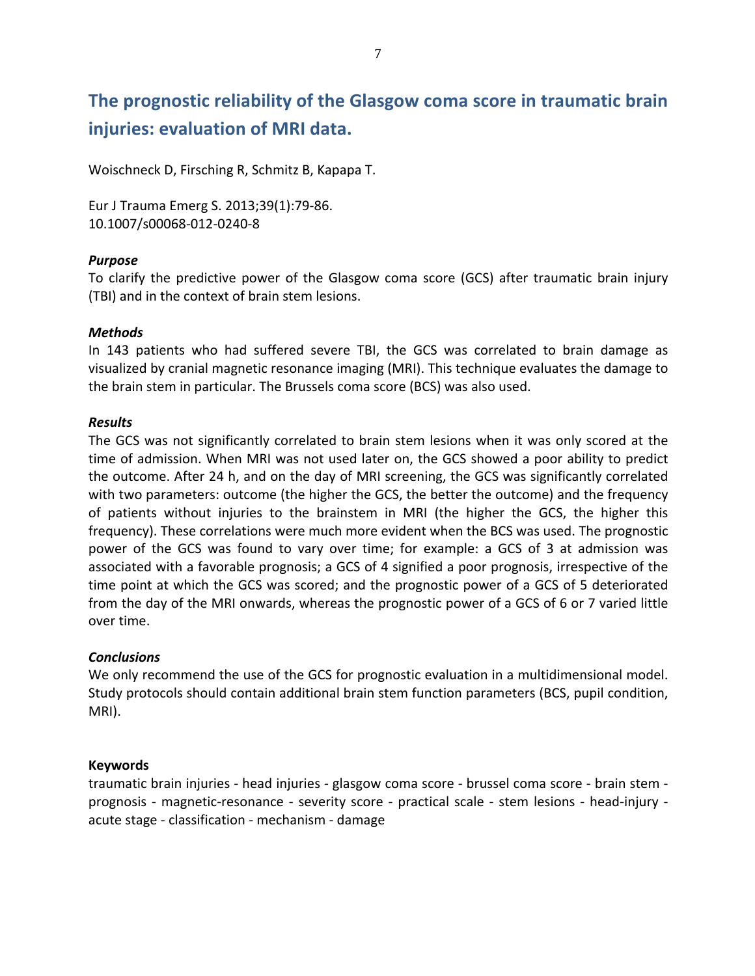# **The prognostic reliability of the Glasgow coma score in traumatic brain injuries: evaluation of MRI data.**

Woischneck D, Firsching R, Schmitz B, Kapapa T.

Eur J Trauma Emerg S. 2013;39(1):79-86. 10.1007/s00068-012-0240-8

### *Purpose*

To clarify the predictive power of the Glasgow coma score (GCS) after traumatic brain injury (TBI) and in the context of brain stem lesions.

### *Methods*

In 143 patients who had suffered severe TBI, the GCS was correlated to brain damage as visualized by cranial magnetic resonance imaging (MRI). This technique evaluates the damage to the brain stem in particular. The Brussels coma score (BCS) was also used.

### *Results*

The GCS was not significantly correlated to brain stem lesions when it was only scored at the time of admission. When MRI was not used later on, the GCS showed a poor ability to predict the outcome. After 24 h, and on the day of MRI screening, the GCS was significantly correlated with two parameters: outcome (the higher the GCS, the better the outcome) and the frequency of patients without injuries to the brainstem in MRI (the higher the GCS, the higher this frequency). These correlations were much more evident when the BCS was used. The prognostic power of the GCS was found to vary over time; for example: a GCS of 3 at admission was associated with a favorable prognosis; a GCS of 4 signified a poor prognosis, irrespective of the time point at which the GCS was scored; and the prognostic power of a GCS of 5 deteriorated from the day of the MRI onwards, whereas the prognostic power of a GCS of 6 or 7 varied little over time.

### *Conclusions*

We only recommend the use of the GCS for prognostic evaluation in a multidimensional model. Study protocols should contain additional brain stem function parameters (BCS, pupil condition, MRI).

### **Keywords**

traumatic brain injuries - head injuries - glasgow coma score - brussel coma score - brain stem prognosis - magnetic-resonance - severity score - practical scale - stem lesions - head-injury acute stage - classification - mechanism - damage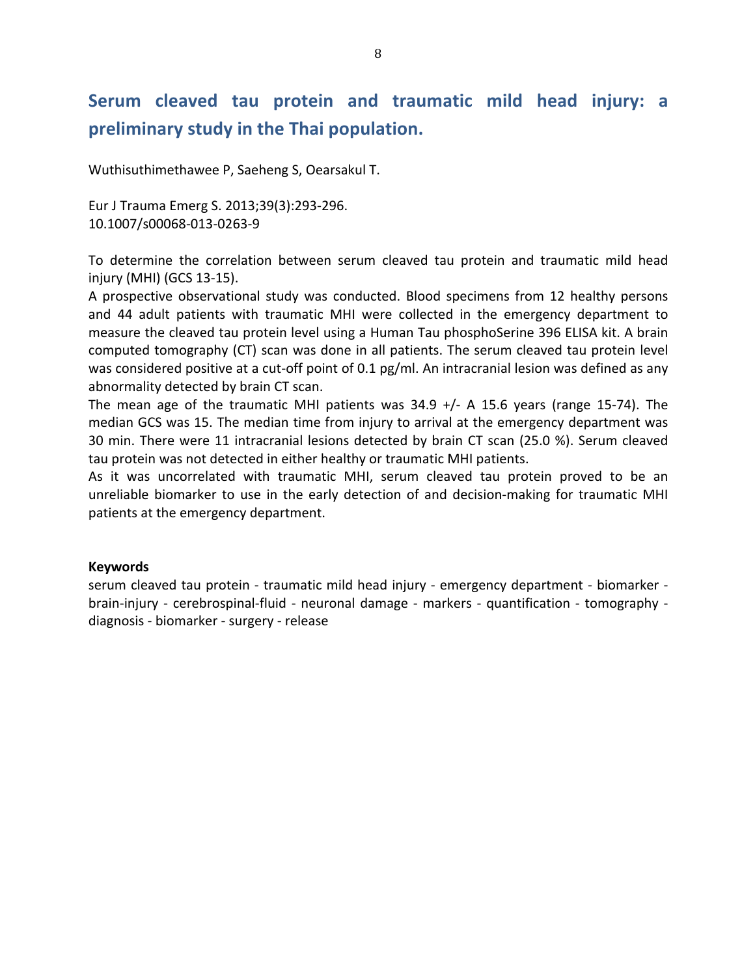# Serum cleaved tau protein and traumatic mild head injury: a preliminary study in the Thai population.

Wuthisuthimethawee P, Saeheng S, Oearsakul T.

Eur J Trauma Emerg S. 2013;39(3):293-296. 10.1007/s00068-013-0263-9

To determine the correlation between serum cleaved tau protein and traumatic mild head injury (MHI) (GCS 13-15).

A prospective observational study was conducted. Blood specimens from 12 healthy persons and 44 adult patients with traumatic MHI were collected in the emergency department to measure the cleaved tau protein level using a Human Tau phosphoSerine 396 ELISA kit. A brain computed tomography (CT) scan was done in all patients. The serum cleaved tau protein level was considered positive at a cut-off point of 0.1 pg/ml. An intracranial lesion was defined as any abnormality detected by brain CT scan.

The mean age of the traumatic MHI patients was  $34.9$  +/- A 15.6 years (range 15-74). The median GCS was 15. The median time from injury to arrival at the emergency department was 30 min. There were 11 intracranial lesions detected by brain CT scan (25.0 %). Serum cleaved tau protein was not detected in either healthy or traumatic MHI patients.

As it was uncorrelated with traumatic MHI, serum cleaved tau protein proved to be an unreliable biomarker to use in the early detection of and decision-making for traumatic MHI patients at the emergency department.

### **Keywords**

serum cleaved tau protein - traumatic mild head injury - emergency department - biomarker brain-injury - cerebrospinal-fluid - neuronal damage - markers - quantification - tomography diagnosis - biomarker - surgery - release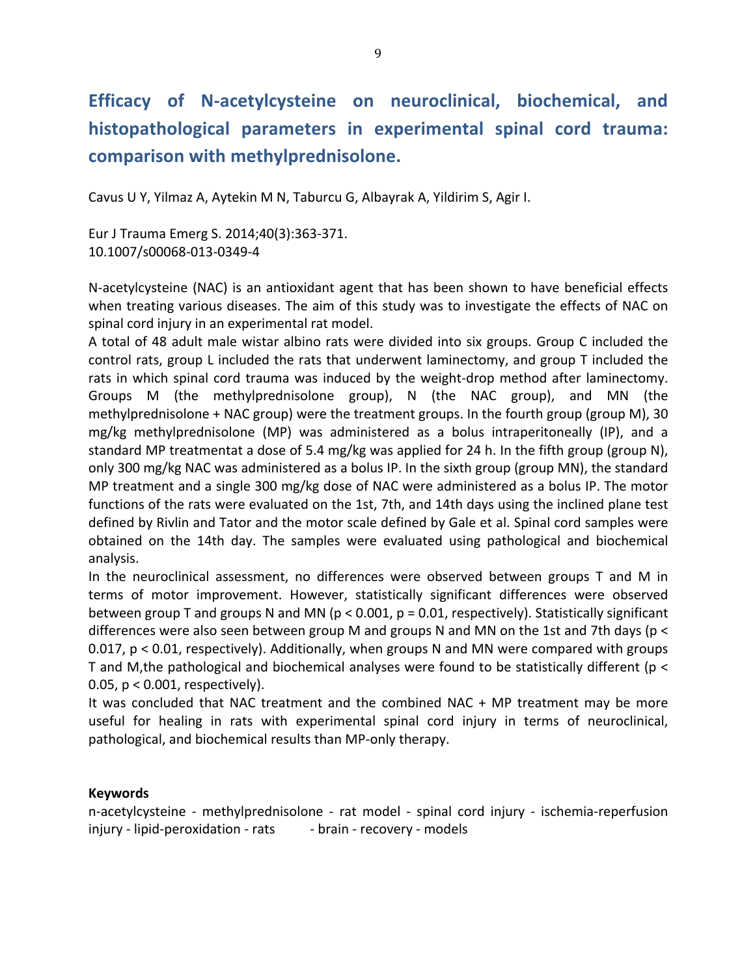# Efficacy of N-acetylcysteine on neuroclinical, biochemical, and histopathological parameters in experimental spinal cord trauma: comparison with methylprednisolone.

Cavus U Y, Yilmaz A, Aytekin M N, Taburcu G, Albayrak A, Yildirim S, Agir I.

Eur J Trauma Emerg S. 2014;40(3):363-371. 10.1007/s00068-013-0349-4

N-acetylcysteine (NAC) is an antioxidant agent that has been shown to have beneficial effects when treating various diseases. The aim of this study was to investigate the effects of NAC on spinal cord injury in an experimental rat model.

A total of 48 adult male wistar albino rats were divided into six groups. Group C included the control rats, group L included the rats that underwent laminectomy, and group T included the rats in which spinal cord trauma was induced by the weight-drop method after laminectomy. Groups M (the methylprednisolone group), N (the NAC group), and MN (the methylprednisolone + NAC group) were the treatment groups. In the fourth group (group M), 30 mg/kg methylprednisolone (MP) was administered as a bolus intraperitoneally (IP), and a standard MP treatmentat a dose of 5.4 mg/kg was applied for 24 h. In the fifth group (group N), only 300 mg/kg NAC was administered as a bolus IP. In the sixth group (group MN), the standard MP treatment and a single 300 mg/kg dose of NAC were administered as a bolus IP. The motor functions of the rats were evaluated on the 1st, 7th, and 14th days using the inclined plane test defined by Rivlin and Tator and the motor scale defined by Gale et al. Spinal cord samples were obtained on the 14th day. The samples were evaluated using pathological and biochemical analysis.

In the neuroclinical assessment, no differences were observed between groups T and M in terms of motor improvement. However, statistically significant differences were observed between group T and groups N and MN ( $p < 0.001$ ,  $p = 0.01$ , respectively). Statistically significant differences were also seen between group M and groups N and MN on the 1st and 7th days ( $p <$  $0.017$ ,  $p < 0.01$ , respectively). Additionally, when groups N and MN were compared with groups T and M, the pathological and biochemical analyses were found to be statistically different (p < 0.05,  $p < 0.001$ , respectively).

It was concluded that NAC treatment and the combined NAC + MP treatment may be more useful for healing in rats with experimental spinal cord injury in terms of neuroclinical, pathological, and biochemical results than MP-only therapy.

### **Keywords**

n-acetylcysteine - methylprednisolone - rat model - spinal cord injury - ischemia-reperfusion injury - lipid-peroxidation - rats - brain - recovery - models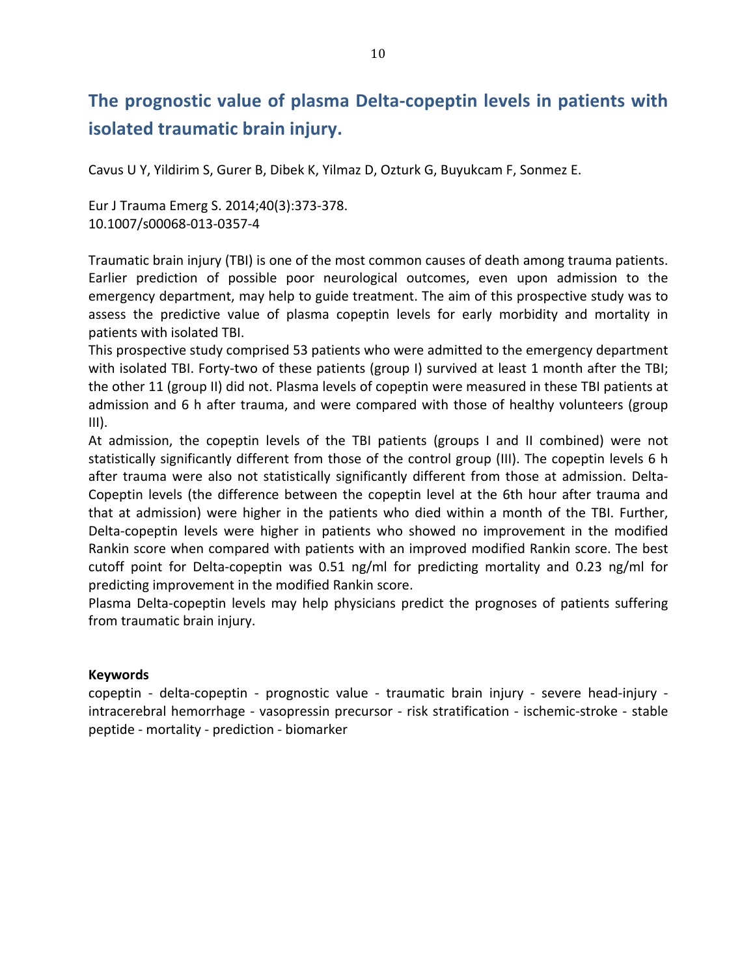# **The prognostic value of plasma Delta-copeptin levels in patients with isolated traumatic brain injury.**

Cavus U Y, Yildirim S, Gurer B, Dibek K, Yilmaz D, Ozturk G, Buyukcam F, Sonmez E.

Eur J Trauma Emerg S. 2014;40(3):373-378. 10.1007/s00068-013-0357-4

Traumatic brain injury (TBI) is one of the most common causes of death among trauma patients. Earlier prediction of possible poor neurological outcomes, even upon admission to the emergency department, may help to guide treatment. The aim of this prospective study was to assess the predictive value of plasma copeptin levels for early morbidity and mortality in patients with isolated TBI.

This prospective study comprised 53 patients who were admitted to the emergency department with isolated TBI. Forty-two of these patients (group I) survived at least 1 month after the TBI; the other 11 (group II) did not. Plasma levels of copeptin were measured in these TBI patients at admission and 6 h after trauma, and were compared with those of healthy volunteers (group  $III$ ).

At admission, the copeptin levels of the TBI patients (groups I and II combined) were not statistically significantly different from those of the control group (III). The copeptin levels 6 h after trauma were also not statistically significantly different from those at admission. Delta-Copeptin levels (the difference between the copeptin level at the 6th hour after trauma and that at admission) were higher in the patients who died within a month of the TBI. Further, Delta-copeptin levels were higher in patients who showed no improvement in the modified Rankin score when compared with patients with an improved modified Rankin score. The best cutoff point for Delta-copeptin was  $0.51$  ng/ml for predicting mortality and  $0.23$  ng/ml for predicting improvement in the modified Rankin score.

Plasma Delta-copeptin levels may help physicians predict the prognoses of patients suffering from traumatic brain injury.

### **Keywords**

copeptin - delta-copeptin - prognostic value - traumatic brain injury - severe head-injury intracerebral hemorrhage - vasopressin precursor - risk stratification - ischemic-stroke - stable peptide - mortality - prediction - biomarker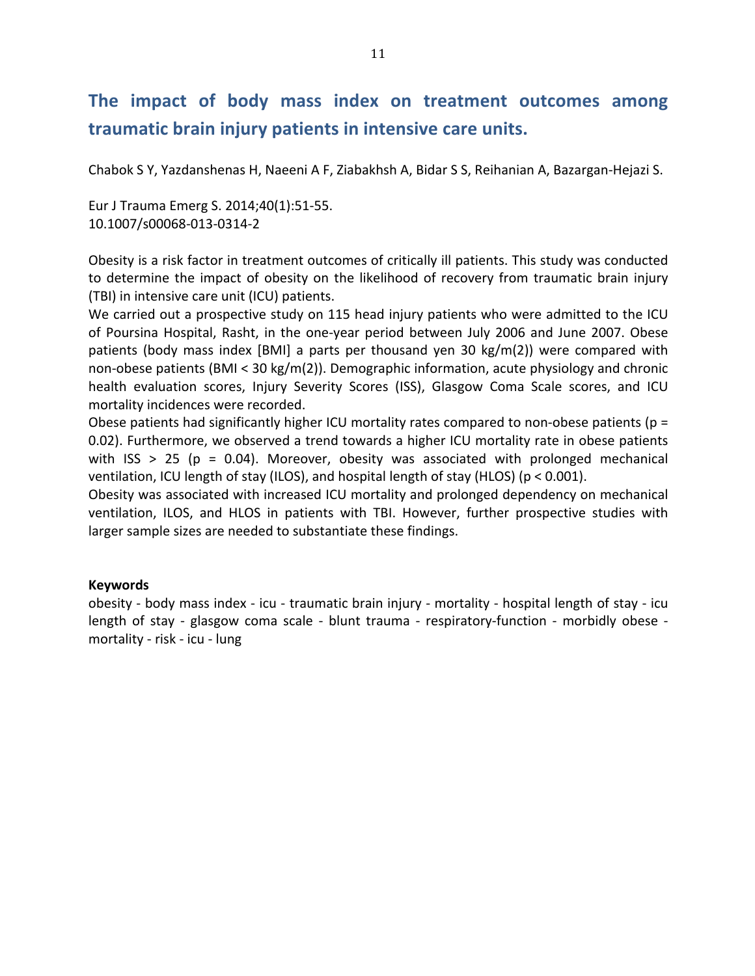### **The, impact, of, body, mass, index, on, treatment, outcomes, among,** traumatic brain injury patients in intensive care units.

Chabok S Y, Yazdanshenas H, Naeeni A F, Ziabakhsh A, Bidar S S, Reihanian A, Bazargan-Hejazi S.

Eur J Trauma Emerg S. 2014;40(1):51-55. 10.1007/s00068-013-0314-2

Obesity is a risk factor in treatment outcomes of critically ill patients. This study was conducted to determine the impact of obesity on the likelihood of recovery from traumatic brain injury (TBI) in intensive care unit (ICU) patients.

We carried out a prospective study on 115 head injury patients who were admitted to the ICU of Poursina Hospital, Rasht, in the one-year period between July 2006 and June 2007. Obese patients (body mass index [BMI] a parts per thousand yen 30  $kg/m(2)$ ) were compared with non-obese patients (BMI < 30  $kg/m(2)$ ). Demographic information, acute physiology and chronic health evaluation scores, Injury Severity Scores (ISS), Glasgow Coma Scale scores, and ICU mortality incidences were recorded.

Obese patients had significantly higher ICU mortality rates compared to non-obese patients ( $p =$ 0.02). Furthermore, we observed a trend towards a higher ICU mortality rate in obese patients with ISS > 25 (p = 0.04). Moreover, obesity was associated with prolonged mechanical ventilation, ICU length of stay (ILOS), and hospital length of stay (HLOS) ( $p < 0.001$ ).

Obesity was associated with increased ICU mortality and prolonged dependency on mechanical ventilation, ILOS, and HLOS in patients with TBI. However, further prospective studies with larger sample sizes are needed to substantiate these findings.

### **Keywords**

obesity - body mass index - icu - traumatic brain injury - mortality - hospital length of stay - icu length of stay - glasgow coma scale - blunt trauma - respiratory-function - morbidly obese mortality - risk - icu - lung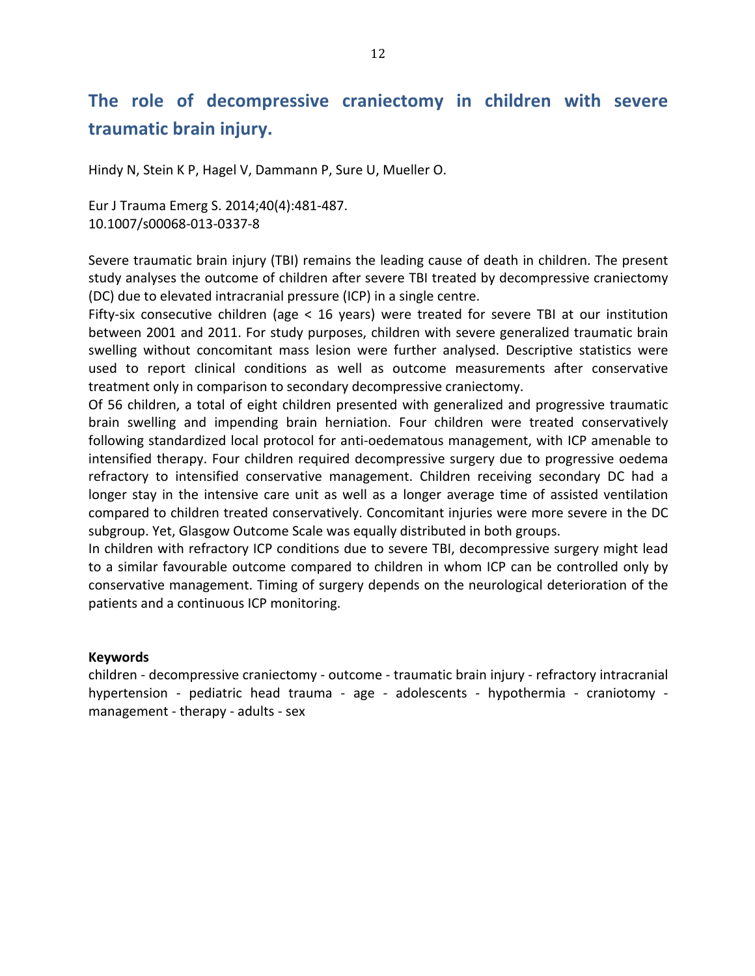# **The, role, of, decompressive, craniectomy, in, children, with, severe, traumatic,brain,injury.**

Hindy N, Stein K P, Hagel V, Dammann P, Sure U, Mueller O.

Eur J Trauma Emerg S. 2014;40(4):481-487. 10.1007/s00068-013-0337-8

Severe traumatic brain injury (TBI) remains the leading cause of death in children. The present study analyses the outcome of children after severe TBI treated by decompressive craniectomy (DC) due to elevated intracranial pressure (ICP) in a single centre.

Fifty-six consecutive children (age < 16 years) were treated for severe TBI at our institution between 2001 and 2011. For study purposes, children with severe generalized traumatic brain swelling without concomitant mass lesion were further analysed. Descriptive statistics were used to report clinical conditions as well as outcome measurements after conservative treatment only in comparison to secondary decompressive craniectomy.

Of 56 children, a total of eight children presented with generalized and progressive traumatic brain swelling and impending brain herniation. Four children were treated conservatively following standardized local protocol for anti-oedematous management, with ICP amenable to intensified therapy. Four children required decompressive surgery due to progressive oedema refractory to intensified conservative management. Children receiving secondary DC had a longer stay in the intensive care unit as well as a longer average time of assisted ventilation compared to children treated conservatively. Concomitant injuries were more severe in the DC subgroup. Yet, Glasgow Outcome Scale was equally distributed in both groups.

In children with refractory ICP conditions due to severe TBI, decompressive surgery might lead to a similar favourable outcome compared to children in whom ICP can be controlled only by conservative management. Timing of surgery depends on the neurological deterioration of the patients and a continuous ICP monitoring.

### **Keywords**

children - decompressive craniectomy - outcome - traumatic brain injury - refractory intracranial hypertension - pediatric head trauma - age - adolescents - hypothermia - craniotomy management - therapy - adults - sex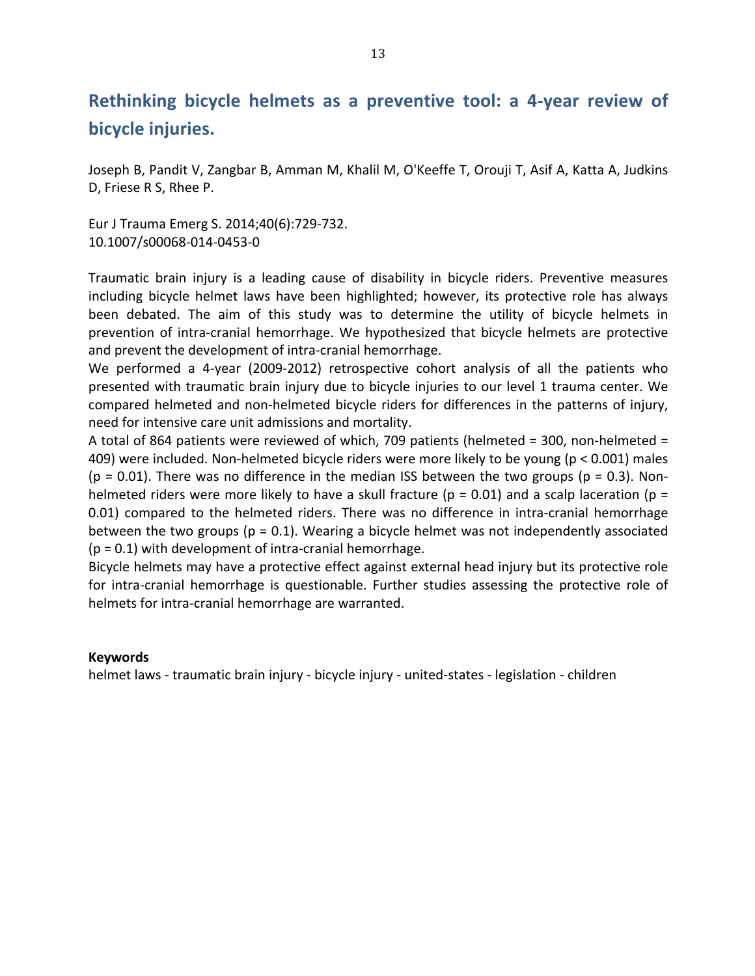### **Rethinking bicycle helmets as a preventive tool: a 4-year review of bicycle injuries.**

Joseph B, Pandit V, Zangbar B, Amman M, Khalil M, O'Keeffe T, Orouji T, Asif A, Katta A, Judkins D, Friese R S, Rhee P.

Eur J Trauma Emerg S. 2014;40(6):729-732. 10.1007/s00068-014-0453-0

Traumatic brain injury is a leading cause of disability in bicycle riders. Preventive measures including bicycle helmet laws have been highlighted; however, its protective role has always been debated. The aim of this study was to determine the utility of bicycle helmets in prevention of intra-cranial hemorrhage. We hypothesized that bicycle helmets are protective and prevent the development of intra-cranial hemorrhage.

We performed a 4-year (2009-2012) retrospective cohort analysis of all the patients who presented with traumatic brain injury due to bicycle injuries to our level 1 trauma center. We compared helmeted and non-helmeted bicycle riders for differences in the patterns of injury, need for intensive care unit admissions and mortality.

A total of 864 patients were reviewed of which, 709 patients (helmeted = 300, non-helmeted = 409) were included. Non-helmeted bicycle riders were more likely to be young (p < 0.001) males (p = 0.01). There was no difference in the median ISS between the two groups (p = 0.3). Nonhelmeted riders were more likely to have a skull fracture ( $p = 0.01$ ) and a scalp laceration ( $p =$ 0.01) compared to the helmeted riders. There was no difference in intra-cranial hemorrhage between the two groups ( $p = 0.1$ ). Wearing a bicycle helmet was not independently associated ( $p = 0.1$ ) with development of intra-cranial hemorrhage.

Bicycle helmets may have a protective effect against external head injury but its protective role for intra-cranial hemorrhage is questionable. Further studies assessing the protective role of helmets for intra-cranial hemorrhage are warranted.

### **Keywords**

helmet laws - traumatic brain injury - bicycle injury - united-states - legislation - children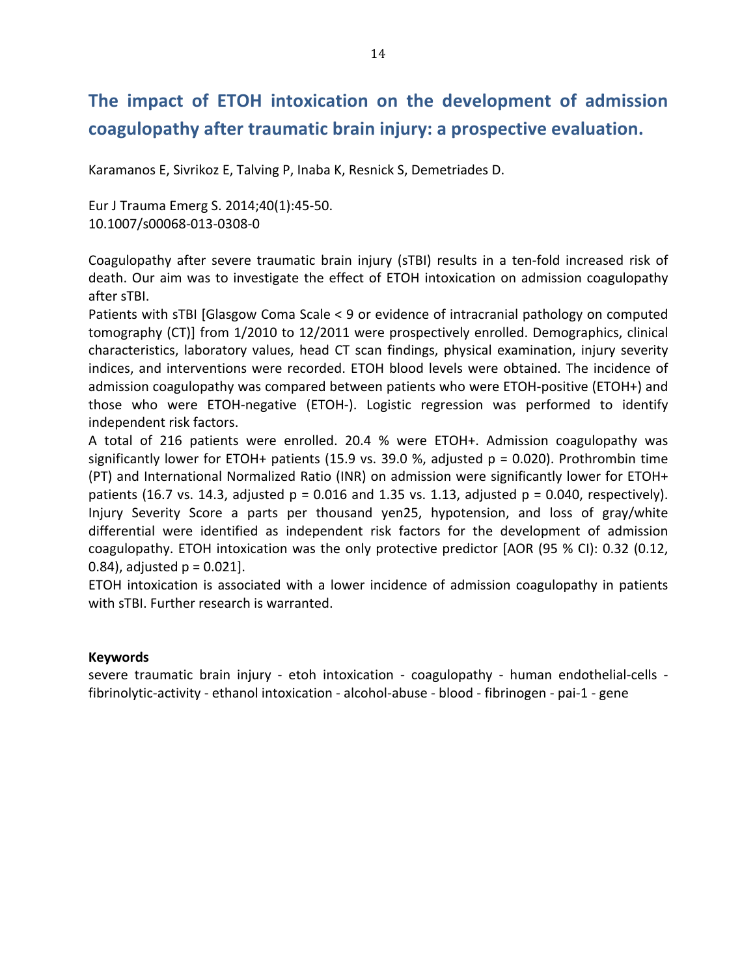# **The, impact, of, ETOH, intoxication, on, the, development, of, admission,** coagulopathy after traumatic brain injury: a prospective evaluation.

Karamanos E, Sivrikoz E, Talving P, Inaba K, Resnick S, Demetriades D.

Eur J Trauma Emerg S. 2014;40(1):45-50. 10.1007/s00068-013-0308-0

Coagulopathy after severe traumatic brain injury (sTBI) results in a ten-fold increased risk of death. Our aim was to investigate the effect of ETOH intoxication on admission coagulopathy after sTBI.

Patients with sTBI [Glasgow Coma Scale < 9 or evidence of intracranial pathology on computed tomography (CT)] from 1/2010 to 12/2011 were prospectively enrolled. Demographics, clinical characteristics, laboratory values, head CT scan findings, physical examination, injury severity indices, and interventions were recorded. ETOH blood levels were obtained. The incidence of admission coagulopathy was compared between patients who were ETOH-positive (ETOH+) and those who were ETOH-negative (ETOH-). Logistic regression was performed to identify independent risk factors.

A total of 216 patients were enrolled. 20.4 % were ETOH+. Admission coagulopathy was significantly lower for ETOH+ patients (15.9 vs. 39.0 %, adjusted  $p = 0.020$ ). Prothrombin time (PT) and International Normalized Ratio (INR) on admission were significantly lower for ETOH+ patients (16.7 vs. 14.3, adjusted  $p = 0.016$  and 1.35 vs. 1.13, adjusted  $p = 0.040$ , respectively). Injury Severity Score a parts per thousand yen25, hypotension, and loss of gray/white differential were identified as independent risk factors for the development of admission coagulopathy. ETOH intoxication was the only protective predictor [AOR (95 % CI): 0.32 (0.12, 0.84), adjusted  $p = 0.021$ .

ETOH intoxication is associated with a lower incidence of admission coagulopathy in patients with sTBI. Further research is warranted.

### **Keywords**

severe traumatic brain injury - etoh intoxication - coagulopathy - human endothelial-cells fibrinolytic-activity - ethanol intoxication - alcohol-abuse - blood - fibrinogen - pai-1 - gene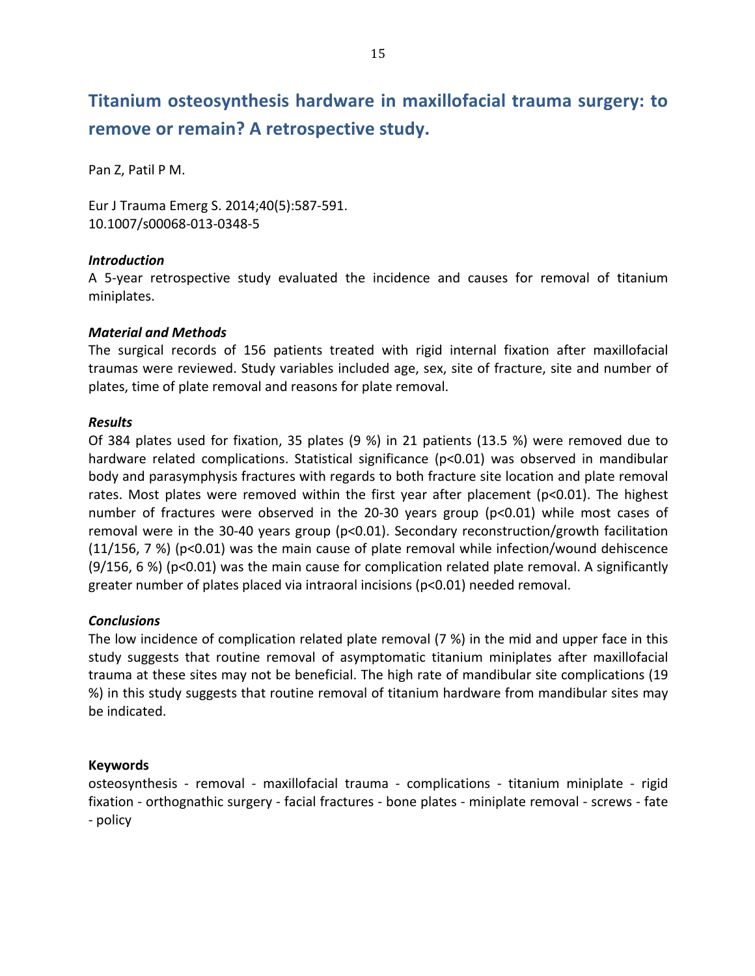# **Titanium osteosynthesis hardware in maxillofacial trauma surgery: to** remove or remain? A retrospective study.

Pan Z, Patil P M.

Eur J Trauma Emerg S. 2014;40(5):587-591. 10.1007/s00068-013-0348-5

### *Introduction*

A 5-year retrospective study evaluated the incidence and causes for removal of titanium miniplates.

### *Material\*and\*Methods*

The surgical records of 156 patients treated with rigid internal fixation after maxillofacial traumas were reviewed. Study variables included age, sex, site of fracture, site and number of plates, time of plate removal and reasons for plate removal.

### *Results*

Of 384 plates used for fixation, 35 plates (9 %) in 21 patients (13.5 %) were removed due to hardware related complications. Statistical significance ( $p<0.01$ ) was observed in mandibular body and parasymphysis fractures with regards to both fracture site location and plate removal rates. Most plates were removed within the first year after placement ( $p<0.01$ ). The highest number of fractures were observed in the 20-30 years group (p<0.01) while most cases of removal were in the 30-40 years group ( $p<0.01$ ). Secondary reconstruction/growth facilitation (11/156, 7 %) (p<0.01) was the main cause of plate removal while infection/wound dehiscence  $(9/156, 6%)$  (p<0.01) was the main cause for complication related plate removal. A significantly greater number of plates placed via intraoral incisions ( $p<0.01$ ) needed removal.

### *Conclusions*

The low incidence of complication related plate removal (7 %) in the mid and upper face in this study suggests that routine removal of asymptomatic titanium miniplates after maxillofacial trauma at these sites may not be beneficial. The high rate of mandibular site complications (19 %) in this study suggests that routine removal of titanium hardware from mandibular sites may be indicated.

### **Keywords**

osteosynthesis - removal - maxillofacial trauma - complications - titanium miniplate - rigid fixation - orthognathic surgery - facial fractures - bone plates - miniplate removal - screws - fate - policy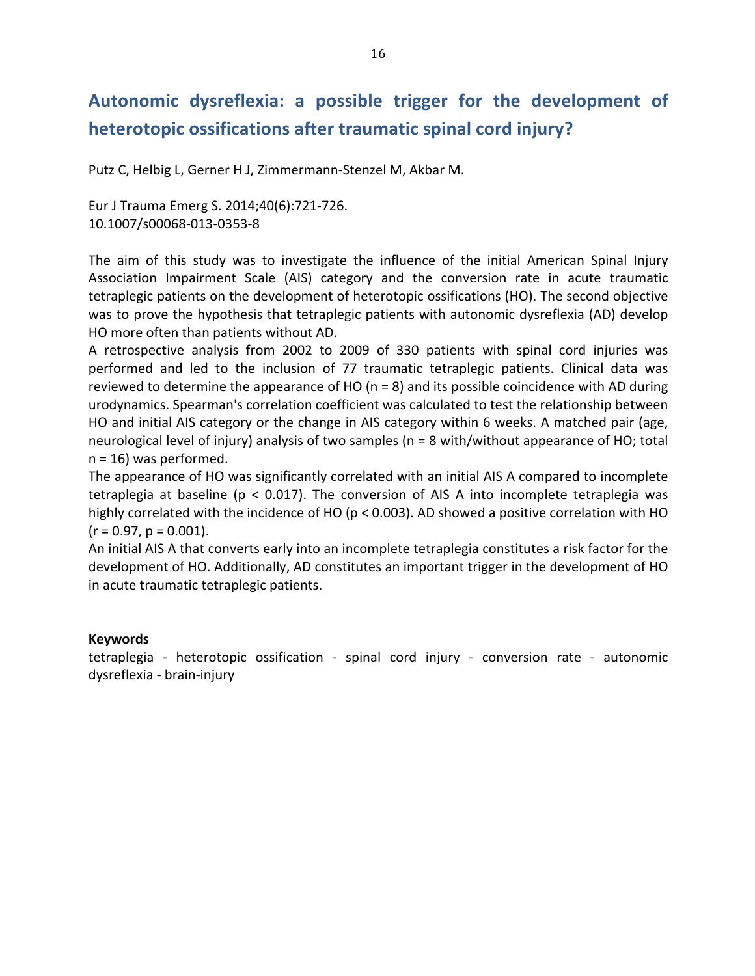# Autonomic dysreflexia: a possible trigger for the development of heterotopic ossifications after traumatic spinal cord injury?

Putz C, Helbig L, Gerner H J, Zimmermann-Stenzel M, Akbar M.

Eur J Trauma Emerg S. 2014;40(6):721-726. 10.1007/s00068-013-0353-8

The aim of this study was to investigate the influence of the initial American Spinal Injury Association Impairment Scale (AIS) category and the conversion rate in acute traumatic tetraplegic patients on the development of heterotopic ossifications (HO). The second objective was to prove the hypothesis that tetraplegic patients with autonomic dysreflexia (AD) develop HO more often than patients without AD.

A retrospective analysis from 2002 to 2009 of 330 patients with spinal cord injuries was performed and led to the inclusion of 77 traumatic tetraplegic patients. Clinical data was reviewed to determine the appearance of HO ( $n = 8$ ) and its possible coincidence with AD during urodynamics. Spearman's correlation coefficient was calculated to test the relationship between HO and initial AIS category or the change in AIS category within 6 weeks. A matched pair (age, neurological level of injury) analysis of two samples (n = 8 with/without appearance of HO; total  $n = 16$ ) was performed.

The appearance of HO was significantly correlated with an initial AIS A compared to incomplete tetraplegia at baseline ( $p < 0.017$ ). The conversion of AIS A into incomplete tetraplegia was highly correlated with the incidence of HO ( $p < 0.003$ ). AD showed a positive correlation with HO  $(r = 0.97, p = 0.001).$ 

An initial AIS A that converts early into an incomplete tetraplegia constitutes a risk factor for the development of HO. Additionally, AD constitutes an important trigger in the development of HO in acute traumatic tetraplegic patients.

### **Keywords**

tetraplegia - heterotopic ossification - spinal cord injury - conversion rate - autonomic dysreflexia - brain-injury